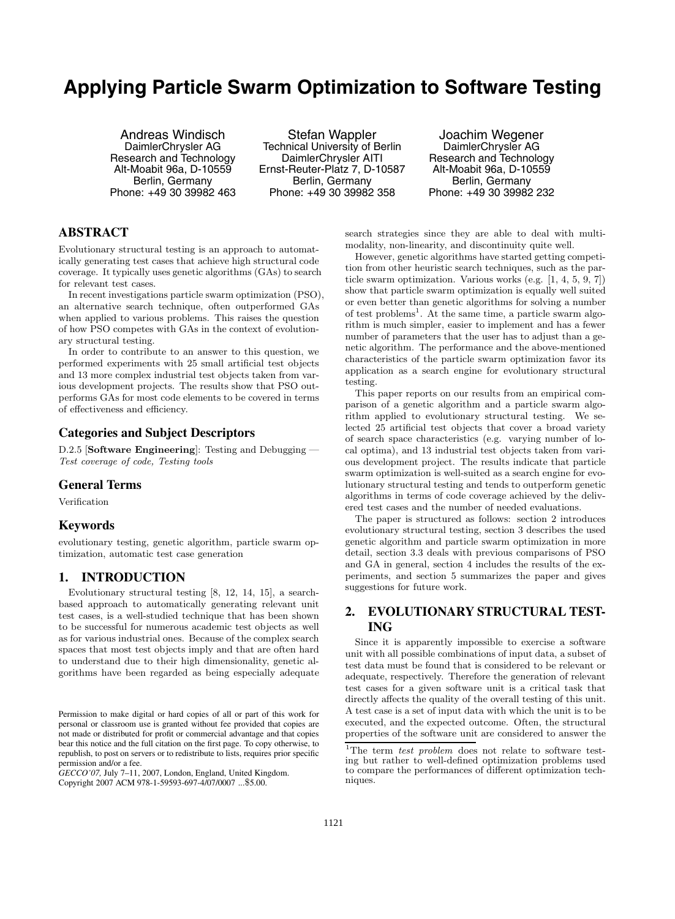# **Applying Particle Swarm Optimization to Software Testing**

Andreas Windisch DaimlerChrysler AG Research and Technology Alt-Moabit 96a, D-10559 Berlin, Germany Phone: +49 30 39982 463

Stefan Wappler Technical University of Berlin DaimlerChrysler AITI Ernst-Reuter-Platz 7, D-10587 Berlin, Germany Phone: +49 30 39982 358

Joachim Wegener DaimlerChrysler AG Research and Technology Alt-Moabit 96a, D-10559 Berlin, Germany Phone: +49 30 39982 232

# **ABSTRACT**

Evolutionary structural testing is an approach to automatically generating test cases that achieve high structural code coverage. It typically uses genetic algorithms (GAs) to search for relevant test cases.

In recent investigations particle swarm optimization (PSO), an alternative search technique, often outperformed GAs when applied to various problems. This raises the question of how PSO competes with GAs in the context of evolutionary structural testing.

In order to contribute to an answer to this question, we performed experiments with 25 small artificial test objects and 13 more complex industrial test objects taken from various development projects. The results show that PSO outperforms GAs for most code elements to be covered in terms of effectiveness and efficiency.

## **Categories and Subject Descriptors**

D.2.5 [**Software Engineering**]: Testing and Debugging — *Test coverage of code, Testing tools*

# **General Terms**

Verification

#### **Keywords**

evolutionary testing, genetic algorithm, particle swarm optimization, automatic test case generation

#### **1. INTRODUCTION**

Evolutionary structural testing [8, 12, 14, 15], a searchbased approach to automatically generating relevant unit test cases, is a well-studied technique that has been shown to be successful for numerous academic test objects as well as for various industrial ones. Because of the complex search spaces that most test objects imply and that are often hard to understand due to their high dimensionality, genetic algorithms have been regarded as being especially adequate

*GECCO'07,* July 7–11, 2007, London, England, United Kingdom. Copyright 2007 ACM 978-1-59593-697-4/07/0007 ...\$5.00.

search strategies since they are able to deal with multimodality, non-linearity, and discontinuity quite well.

However, genetic algorithms have started getting competition from other heuristic search techniques, such as the particle swarm optimization. Various works (e.g. [1, 4, 5, 9, 7]) show that particle swarm optimization is equally well suited or even better than genetic algorithms for solving a number of test problems<sup>1</sup>. At the same time, a particle swarm algorithm is much simpler, easier to implement and has a fewer number of parameters that the user has to adjust than a genetic algorithm. The performance and the above-mentioned characteristics of the particle swarm optimization favor its application as a search engine for evolutionary structural testing.

This paper reports on our results from an empirical comparison of a genetic algorithm and a particle swarm algorithm applied to evolutionary structural testing. We selected 25 artificial test objects that cover a broad variety of search space characteristics (e.g. varying number of local optima), and 13 industrial test objects taken from various development project. The results indicate that particle swarm optimization is well-suited as a search engine for evolutionary structural testing and tends to outperform genetic algorithms in terms of code coverage achieved by the delivered test cases and the number of needed evaluations.

The paper is structured as follows: section 2 introduces evolutionary structural testing, section 3 describes the used genetic algorithm and particle swarm optimization in more detail, section 3.3 deals with previous comparisons of PSO and GA in general, section 4 includes the results of the experiments, and section 5 summarizes the paper and gives suggestions for future work.

# **2. EVOLUTIONARY STRUCTURAL TEST-ING**

Since it is apparently impossible to exercise a software unit with all possible combinations of input data, a subset of test data must be found that is considered to be relevant or adequate, respectively. Therefore the generation of relevant test cases for a given software unit is a critical task that directly affects the quality of the overall testing of this unit. A test case is a set of input data with which the unit is to be executed, and the expected outcome. Often, the structural properties of the software unit are considered to answer the

Permission to make digital or hard copies of all or part of this work for personal or classroom use is granted without fee provided that copies are not made or distributed for profit or commercial advantage and that copies bear this notice and the full citation on the first page. To copy otherwise, to republish, to post on servers or to redistribute to lists, requires prior specific permission and/or a fee.

<sup>&</sup>lt;sup>1</sup>The term *test problem* does not relate to software testing but rather to well-defined optimization problems used to compare the performances of different optimization techniques.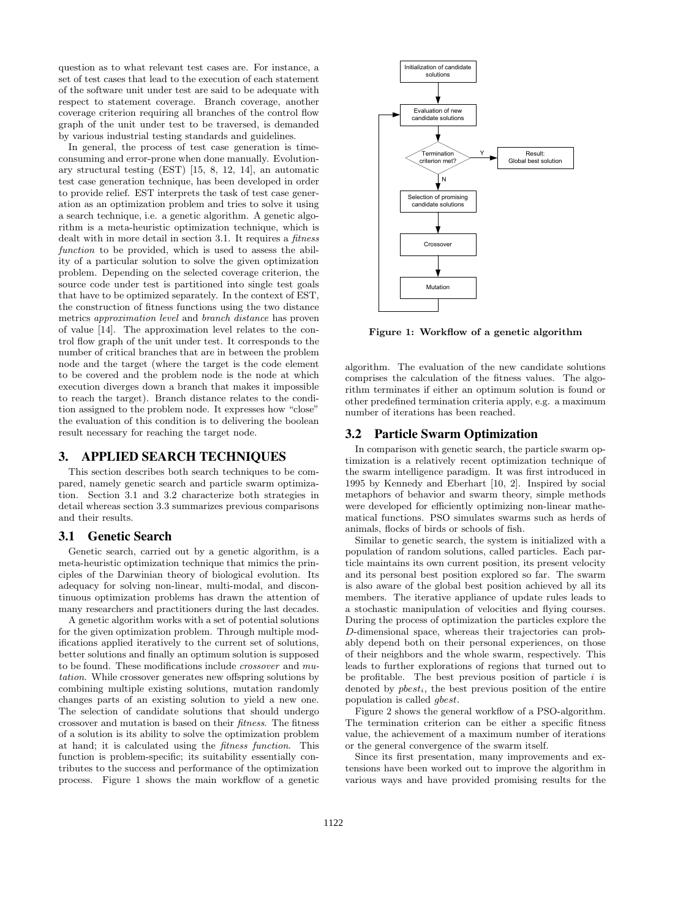question as to what relevant test cases are. For instance, a set of test cases that lead to the execution of each statement of the software unit under test are said to be adequate with respect to statement coverage. Branch coverage, another coverage criterion requiring all branches of the control flow graph of the unit under test to be traversed, is demanded by various industrial testing standards and guidelines.

In general, the process of test case generation is timeconsuming and error-prone when done manually. Evolutionary structural testing (EST) [15, 8, 12, 14], an automatic test case generation technique, has been developed in order to provide relief. EST interprets the task of test case generation as an optimization problem and tries to solve it using a search technique, i.e. a genetic algorithm. A genetic algorithm is a meta-heuristic optimization technique, which is dealt with in more detail in section 3.1. It requires a *fitness function* to be provided, which is used to assess the ability of a particular solution to solve the given optimization problem. Depending on the selected coverage criterion, the source code under test is partitioned into single test goals that have to be optimized separately. In the context of EST, the construction of fitness functions using the two distance metrics *approximation level* and *branch distance* has proven of value [14]. The approximation level relates to the control flow graph of the unit under test. It corresponds to the number of critical branches that are in between the problem node and the target (where the target is the code element to be covered and the problem node is the node at which execution diverges down a branch that makes it impossible to reach the target). Branch distance relates to the condition assigned to the problem node. It expresses how "close" the evaluation of this condition is to delivering the boolean result necessary for reaching the target node.

# **3. APPLIED SEARCH TECHNIQUES**

This section describes both search techniques to be compared, namely genetic search and particle swarm optimization. Section 3.1 and 3.2 characterize both strategies in detail whereas section 3.3 summarizes previous comparisons and their results.

#### **3.1 Genetic Search**

Genetic search, carried out by a genetic algorithm, is a meta-heuristic optimization technique that mimics the principles of the Darwinian theory of biological evolution. Its adequacy for solving non-linear, multi-modal, and discontinuous optimization problems has drawn the attention of many researchers and practitioners during the last decades.

A genetic algorithm works with a set of potential solutions for the given optimization problem. Through multiple modifications applied iteratively to the current set of solutions, better solutions and finally an optimum solution is supposed to be found. These modifications include *crossover* and *mutation*. While crossover generates new offspring solutions by combining multiple existing solutions, mutation randomly changes parts of an existing solution to yield a new one. The selection of candidate solutions that should undergo crossover and mutation is based on their *fitness*. The fitness of a solution is its ability to solve the optimization problem at hand; it is calculated using the *fitness function*. This function is problem-specific; its suitability essentially contributes to the success and performance of the optimization process. Figure 1 shows the main workflow of a genetic



**Figure 1: Workflow of a genetic algorithm**

algorithm. The evaluation of the new candidate solutions comprises the calculation of the fitness values. The algorithm terminates if either an optimum solution is found or other predefined termination criteria apply, e.g. a maximum number of iterations has been reached.

## **3.2 Particle Swarm Optimization**

In comparison with genetic search, the particle swarm optimization is a relatively recent optimization technique of the swarm intelligence paradigm. It was first introduced in 1995 by Kennedy and Eberhart [10, 2]. Inspired by social metaphors of behavior and swarm theory, simple methods were developed for efficiently optimizing non-linear mathematical functions. PSO simulates swarms such as herds of animals, flocks of birds or schools of fish.

Similar to genetic search, the system is initialized with a population of random solutions, called particles. Each particle maintains its own current position, its present velocity and its personal best position explored so far. The swarm is also aware of the global best position achieved by all its members. The iterative appliance of update rules leads to a stochastic manipulation of velocities and flying courses. During the process of optimization the particles explore the D-dimensional space, whereas their trajectories can probably depend both on their personal experiences, on those of their neighbors and the whole swarm, respectively. This leads to further explorations of regions that turned out to be profitable. The best previous position of particle  $i$  is denoted by pbest*i*, the best previous position of the entire population is called gbest.

Figure 2 shows the general workflow of a PSO-algorithm. The termination criterion can be either a specific fitness value, the achievement of a maximum number of iterations or the general convergence of the swarm itself.

Since its first presentation, many improvements and extensions have been worked out to improve the algorithm in various ways and have provided promising results for the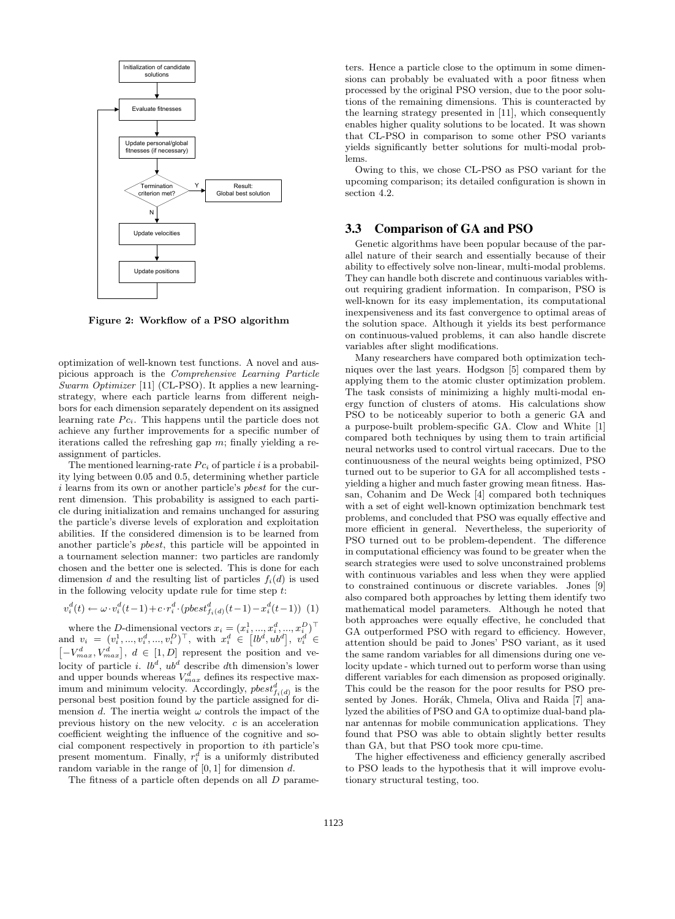

**Figure 2: Workflow of a PSO algorithm**

optimization of well-known test functions. A novel and auspicious approach is the *Comprehensive Learning Particle Swarm Optimizer* [11] (CL-PSO). It applies a new learningstrategy, where each particle learns from different neighbors for each dimension separately dependent on its assigned learning rate  $P_{c_i}$ . This happens until the particle does not achieve any further improvements for a specific number of iterations called the refreshing gap  $m$ ; finally yielding a reassignment of particles.

The mentioned learning-rate  $P_{\mathcal{C}_i}$  of particle i is a probability lying between 0.05 and 0.5, determining whether particle i learns from its own or another particle's *pbest* for the current dimension. This probability is assigned to each particle during initialization and remains unchanged for assuring the particle's diverse levels of exploration and exploitation abilities. If the considered dimension is to be learned from another particle's pbest, this particle will be appointed in a tournament selection manner: two particles are randomly chosen and the better one is selected. This is done for each dimension d and the resulting list of particles  $f_i(d)$  is used in the following velocity update rule for time step  $t$ :

$$
v_i^d(t) \leftarrow \omega \cdot v_i^d(t-1) + c \cdot r_i^d \cdot (pbest_{f_i(d)}^d(t-1) - x_i^d(t-1)) \tag{1}
$$

where the *D*-dimensional vectors  $x_i = (x_i^1, ..., x_i^d, ..., x_i^D)^{\top}$ <br>and  $v_i = (v_i^1, ..., v_i^d, ..., v_i^D)^{\top}$ , with  $x_i^d \in [l b^d, u b^d]$ ,  $v_i^d \in$  $\left[-V_{max}^d, V_{max}^d\right], d \in [1, D]$  represent the position and velocity of particle i. lb*<sup>d</sup>*, ub*<sup>d</sup>* describe dth dimension's lower and upper bounds whereas  $V_{max}^d$  defines its respective maximum and minimum velocity. Accordingly,  $pbest_{f_i(d)}^d$  is the personal best position found by the particle assigned for dimension d. The inertia weight  $\omega$  controls the impact of the previous history on the new velocity. c is an acceleration coefficient weighting the influence of the cognitive and social component respectively in proportion to ith particle's present momentum. Finally,  $r_i^{\bar{d}}$  is a uniformly distributed random variable in the range of  $[0, 1]$  for dimension d.

The fitness of a particle often depends on all D parame-

ters. Hence a particle close to the optimum in some dimensions can probably be evaluated with a poor fitness when processed by the original PSO version, due to the poor solutions of the remaining dimensions. This is counteracted by the learning strategy presented in [11], which consequently enables higher quality solutions to be located. It was shown that CL-PSO in comparison to some other PSO variants yields significantly better solutions for multi-modal problems.

Owing to this, we chose CL-PSO as PSO variant for the upcoming comparison; its detailed configuration is shown in section 4.2.

#### **3.3 Comparison of GA and PSO**

Genetic algorithms have been popular because of the parallel nature of their search and essentially because of their ability to effectively solve non-linear, multi-modal problems. They can handle both discrete and continuous variables without requiring gradient information. In comparison, PSO is well-known for its easy implementation, its computational inexpensiveness and its fast convergence to optimal areas of the solution space. Although it yields its best performance on continuous-valued problems, it can also handle discrete variables after slight modifications.

Many researchers have compared both optimization techniques over the last years. Hodgson [5] compared them by applying them to the atomic cluster optimization problem. The task consists of minimizing a highly multi-modal energy function of clusters of atoms. His calculations show PSO to be noticeably superior to both a generic GA and a purpose-built problem-specific GA. Clow and White [1] compared both techniques by using them to train artificial neural networks used to control virtual racecars. Due to the continuousness of the neural weights being optimized, PSO turned out to be superior to GA for all accomplished tests yielding a higher and much faster growing mean fitness. Hassan, Cohanim and De Weck [4] compared both techniques with a set of eight well-known optimization benchmark test problems, and concluded that PSO was equally effective and more efficient in general. Nevertheless, the superiority of PSO turned out to be problem-dependent. The difference in computational efficiency was found to be greater when the search strategies were used to solve unconstrained problems with continuous variables and less when they were applied to constrained continuous or discrete variables. Jones [9] also compared both approaches by letting them identify two mathematical model parameters. Although he noted that both approaches were equally effective, he concluded that GA outperformed PSO with regard to efficiency. However, attention should be paid to Jones' PSO variant, as it used the same random variables for all dimensions during one velocity update - which turned out to perform worse than using different variables for each dimension as proposed originally. This could be the reason for the poor results for PSO presented by Jones. Horák, Chmela, Oliva and Raida [7] analyzed the abilities of PSO and GA to optimize dual-band planar antennas for mobile communication applications. They found that PSO was able to obtain slightly better results than GA, but that PSO took more cpu-time.

The higher effectiveness and efficiency generally ascribed to PSO leads to the hypothesis that it will improve evolutionary structural testing, too.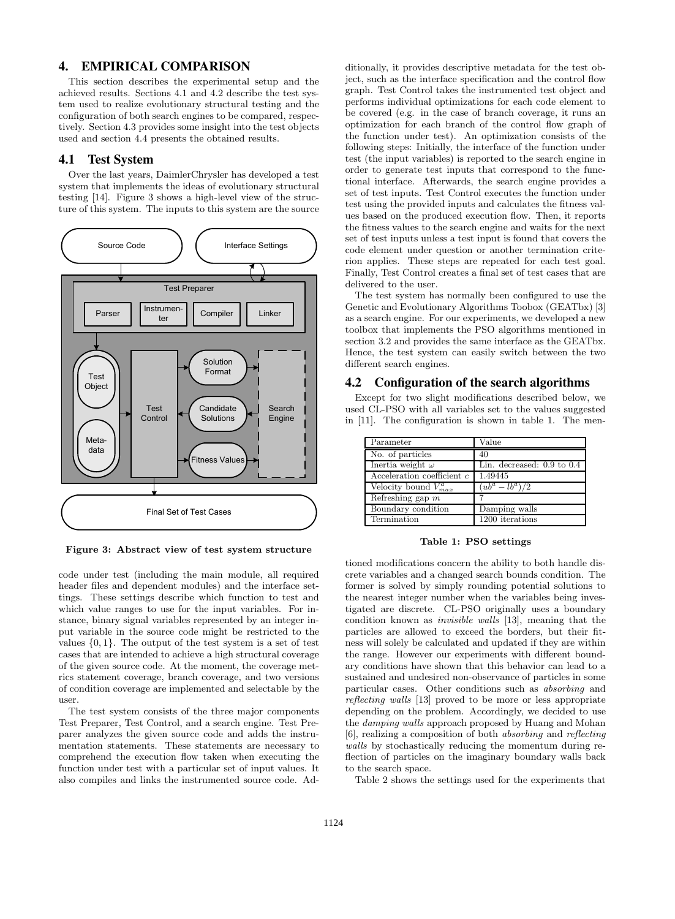# **4. EMPIRICAL COMPARISON**

This section describes the experimental setup and the achieved results. Sections 4.1 and 4.2 describe the test system used to realize evolutionary structural testing and the configuration of both search engines to be compared, respectively. Section 4.3 provides some insight into the test objects used and section 4.4 presents the obtained results.

## **4.1 Test System**

Over the last years, DaimlerChrysler has developed a test system that implements the ideas of evolutionary structural testing [14]. Figure 3 shows a high-level view of the structure of this system. The inputs to this system are the source



**Figure 3: Abstract view of test system structure**

code under test (including the main module, all required header files and dependent modules) and the interface settings. These settings describe which function to test and which value ranges to use for the input variables. For instance, binary signal variables represented by an integer input variable in the source code might be restricted to the values  $\{0, 1\}$ . The output of the test system is a set of test cases that are intended to achieve a high structural coverage of the given source code. At the moment, the coverage metrics statement coverage, branch coverage, and two versions of condition coverage are implemented and selectable by the user.

The test system consists of the three major components Test Preparer, Test Control, and a search engine. Test Preparer analyzes the given source code and adds the instrumentation statements. These statements are necessary to comprehend the execution flow taken when executing the function under test with a particular set of input values. It also compiles and links the instrumented source code. Additionally, it provides descriptive metadata for the test object, such as the interface specification and the control flow graph. Test Control takes the instrumented test object and performs individual optimizations for each code element to be covered (e.g. in the case of branch coverage, it runs an optimization for each branch of the control flow graph of the function under test). An optimization consists of the following steps: Initially, the interface of the function under test (the input variables) is reported to the search engine in order to generate test inputs that correspond to the functional interface. Afterwards, the search engine provides a set of test inputs. Test Control executes the function under test using the provided inputs and calculates the fitness values based on the produced execution flow. Then, it reports the fitness values to the search engine and waits for the next set of test inputs unless a test input is found that covers the code element under question or another termination criterion applies. These steps are repeated for each test goal. Finally, Test Control creates a final set of test cases that are delivered to the user.

The test system has normally been configured to use the Genetic and Evolutionary Algorithms Toobox (GEATbx) [3] as a search engine. For our experiments, we developed a new toolbox that implements the PSO algorithms mentioned in section 3.2 and provides the same interface as the GEATbx. Hence, the test system can easily switch between the two different search engines.

## **4.2 Configuration of the search algorithms**

Except for two slight modifications described below, we used CL-PSO with all variables set to the values suggested in [11]. The configuration is shown in table 1. The men-

| Parameter                                      | Value                          |
|------------------------------------------------|--------------------------------|
| No. of particles                               | 40                             |
| Inertia weight $\omega$                        | Lin. decreased: $0.9$ to $0.4$ |
| $\overline{\text{Acceleration coefficient}}$ c | 1.49445                        |
| Velocity bound $V_{max}^d$                     | $(ub^d - lb^d)/2$              |
| Refreshing gap $m$                             |                                |
| Boundary condition                             | Damping walls                  |
| Termination                                    | 1200 iterations                |

**Table 1: PSO settings**

tioned modifications concern the ability to both handle discrete variables and a changed search bounds condition. The former is solved by simply rounding potential solutions to the nearest integer number when the variables being investigated are discrete. CL-PSO originally uses a boundary condition known as *invisible walls* [13], meaning that the particles are allowed to exceed the borders, but their fitness will solely be calculated and updated if they are within the range. However our experiments with different boundary conditions have shown that this behavior can lead to a sustained and undesired non-observance of particles in some particular cases. Other conditions such as *absorbing* and *reflecting walls* [13] proved to be more or less appropriate depending on the problem. Accordingly, we decided to use the *damping walls* approach proposed by Huang and Mohan [6], realizing a composition of both *absorbing* and *reflecting walls* by stochastically reducing the momentum during reflection of particles on the imaginary boundary walls back to the search space.

Table 2 shows the settings used for the experiments that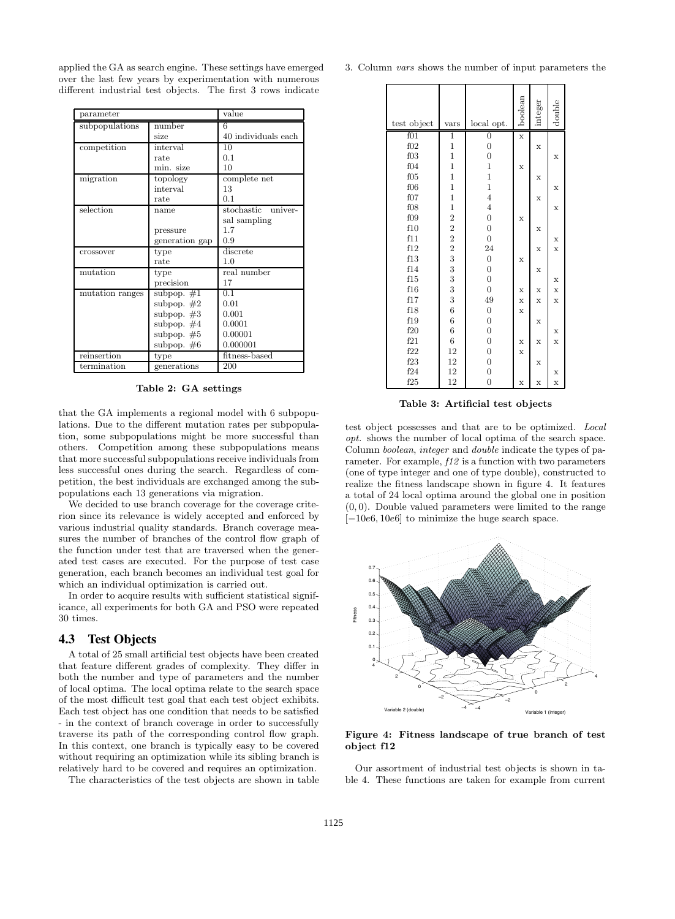applied the GA as search engine. These settings have emerged over the last few years by experimentation with numerous different industrial test objects. The first 3 rows indicate

| parameter       |                | value               |
|-----------------|----------------|---------------------|
| subpopulations  | number         | 6                   |
|                 | size           | 40 individuals each |
| competition     | interval       | 10                  |
|                 | rate           | 0.1                 |
|                 | min. size      | 10                  |
| migration       | topology       | complete net        |
|                 | interval       | 13                  |
|                 | rate           | 0.1                 |
| selection       | name           | stochastic univer-  |
|                 |                | sal sampling        |
|                 | pressure       | 1.7                 |
|                 | generation gap | 0.9                 |
| crossover       | type           | discrete            |
|                 | rate           | 1.0                 |
| mutation        | type           | real number         |
|                 | precision      | 17                  |
| mutation ranges | subpop. $#1$   | 0.1                 |
|                 | subpop. $#2$   | 0.01                |
|                 | subpop. $#3$   | 0.001               |
|                 | subpop. $#4$   | 0.0001              |
|                 | subpop. $#5$   | 0.00001             |
|                 | subpop. $#6$   | 0.000001            |
| reinsertion     | type           | fitness-based       |
| termination     | generations    | 200                 |

**Table 2: GA settings**

that the GA implements a regional model with 6 subpopulations. Due to the different mutation rates per subpopulation, some subpopulations might be more successful than others. Competition among these subpopulations means that more successful subpopulations receive individuals from less successful ones during the search. Regardless of competition, the best individuals are exchanged among the subpopulations each 13 generations via migration.

We decided to use branch coverage for the coverage criterion since its relevance is widely accepted and enforced by various industrial quality standards. Branch coverage measures the number of branches of the control flow graph of the function under test that are traversed when the generated test cases are executed. For the purpose of test case generation, each branch becomes an individual test goal for which an individual optimization is carried out.

In order to acquire results with sufficient statistical significance, all experiments for both GA and PSO were repeated 30 times.

#### **4.3 Test Objects**

A total of 25 small artificial test objects have been created that feature different grades of complexity. They differ in both the number and type of parameters and the number of local optima. The local optima relate to the search space of the most difficult test goal that each test object exhibits. Each test object has one condition that needs to be satisfied - in the context of branch coverage in order to successfully traverse its path of the corresponding control flow graph. In this context, one branch is typically easy to be covered without requiring an optimization while its sibling branch is relatively hard to be covered and requires an optimization.

The characteristics of the test objects are shown in table

3. Column *vars* shows the number of input parameters the

| test object | vars                    | local opt.       | boolean     | integer     | double      |
|-------------|-------------------------|------------------|-------------|-------------|-------------|
| f01         | $\overline{1}$          | $\boldsymbol{0}$ | $\mathbf x$ |             |             |
| f02         | $\overline{1}$          | $\boldsymbol{0}$ |             | X           |             |
| f03         | $\mathbf{1}$            | $\boldsymbol{0}$ |             |             | X           |
| f04         | $\overline{1}$          | $\mathbf{1}$     | $\mathbf x$ |             |             |
| f05         | $\mathbf{1}$            | $\mathbf{1}$     |             | X           |             |
| f06         | $\mathbf{1}$            | $\mathbf{1}$     |             |             | X           |
| f07         | $\mathbf{1}$            | $\overline{4}$   |             | X           |             |
| f08         | $\,1$                   | $\overline{4}$   |             |             | $\bf{x}$    |
| f09         | $\overline{\mathbf{c}}$ | $\boldsymbol{0}$ | X           |             |             |
| f10         | $\overline{c}$          | $\overline{0}$   |             | X           |             |
| f11         | $2\ 2\ 3\ 3\ 3\ 3\ 3$   | $\boldsymbol{0}$ |             |             | X           |
| f12         |                         | 24               |             | X           | $\mathbf x$ |
| f13         |                         | $\boldsymbol{0}$ | $\mathbf x$ |             |             |
| f14         |                         | $\boldsymbol{0}$ |             | X           |             |
| f15         |                         | $\boldsymbol{0}$ |             |             | X           |
| f16         |                         | $\overline{0}$   | X           | $\mathbf x$ | $\mathbf x$ |
| f17         |                         | 49               | X           | $\bf x$     | X           |
| f18         | $\overline{6}$          | $\boldsymbol{0}$ | $\mathbf x$ |             |             |
| f19         | $\sqrt{6}$              | $\boldsymbol{0}$ |             | X           |             |
| f20         | $\,$ 6 $\,$             | $\boldsymbol{0}$ |             |             | X           |
| f21         | $\,6$                   | $\boldsymbol{0}$ | X           | $\mathbf x$ | $\bar{x}$   |
| f22         | 12                      | $\boldsymbol{0}$ | X           |             |             |
| f23         | 12                      | $\boldsymbol{0}$ |             | X           |             |
| f24         | 12                      | $\overline{0}$   |             |             | X           |
| f25         | 12                      | $\overline{0}$   | X           | X           | $\bar{x}$   |

**Table 3: Artificial test objects**

test object possesses and that are to be optimized. *Local opt.* shows the number of local optima of the search space. Column *boolean*, *integer* and *double* indicate the types of parameter. For example, *f12* is a function with two parameters (one of type integer and one of type double), constructed to realize the fitness landscape shown in figure 4. It features a total of 24 local optima around the global one in position  $(0, 0)$ . Double valued parameters were limited to the range [−10e6, 10e6] to minimize the huge search space.



**Figure 4: Fitness landscape of true branch of test object f12**

Our assortment of industrial test objects is shown in table 4. These functions are taken for example from current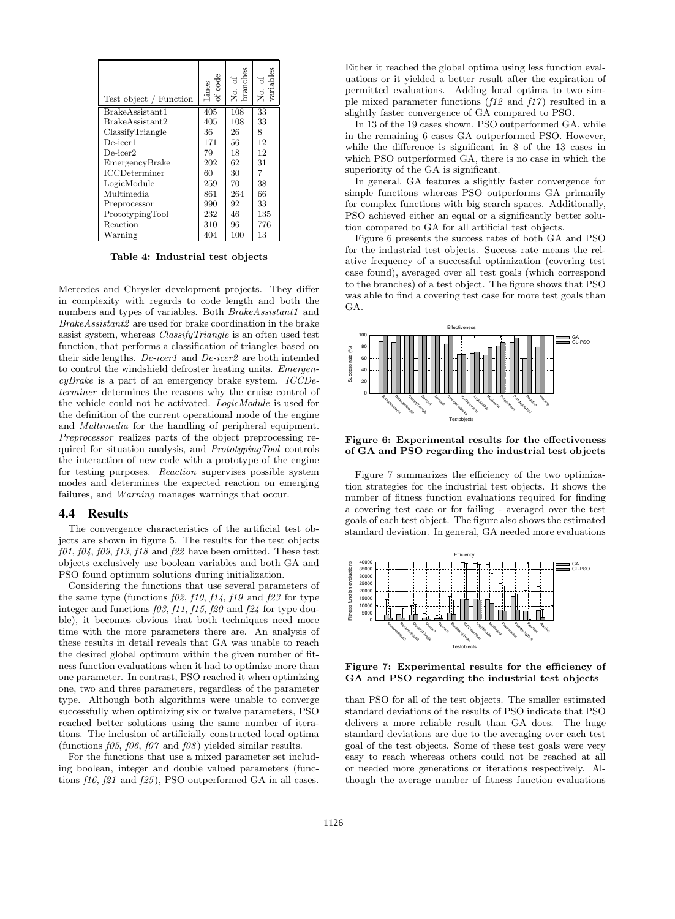| Test object / Function | Lines<br>of code | No. of<br>branches | variables<br>6f<br>ρ. |
|------------------------|------------------|--------------------|-----------------------|
| BrakeAssistant1        | 405              | 108                | 33                    |
| BrakeAssistant2        | 405              | 108                | 33                    |
| ClassifyTriangle       | 36               | 26                 | 8                     |
| De-icer1               | 171              | 56                 | 12                    |
| $De-icer2$             | 79               | 18                 | 12                    |
| EmergencyBrake         | 202              | 62                 | 31                    |
| <b>ICCD</b> eterminer  | 60               | 30                 | 7                     |
| LogicModule            | 259              | 70                 | 38                    |
| Multimedia             | 861              | 264                | 66                    |
| Preprocessor           | 990              | 92                 | 33                    |
| PrototypingTool        | 232              | 46                 | 135                   |
| Reaction               | 310              | 96                 | 776                   |
| Warning                | 404              | 100                | 13                    |

**Table 4: Industrial test objects**

Mercedes and Chrysler development projects. They differ in complexity with regards to code length and both the numbers and types of variables. Both *BrakeAssistant1* and *BrakeAssistant2* are used for brake coordination in the brake assist system, whereas *ClassifyTriangle* is an often used test function, that performs a classification of triangles based on their side lengths. *De-icer1* and *De-icer2* are both intended to control the windshield defroster heating units. *EmergencyBrake* is a part of an emergency brake system. *ICCDeterminer* determines the reasons why the cruise control of the vehicle could not be activated. *LogicModule* is used for the definition of the current operational mode of the engine and *Multimedia* for the handling of peripheral equipment. *Preprocessor* realizes parts of the object preprocessing required for situation analysis, and *PrototypingTool* controls the interaction of new code with a prototype of the engine for testing purposes. *Reaction* supervises possible system modes and determines the expected reaction on emerging failures, and *Warning* manages warnings that occur.

#### **4.4 Results**

The convergence characteristics of the artificial test objects are shown in figure 5. The results for the test objects *f01*, *f04*, *f09*, *f13*, *f18* and *f22* have been omitted. These test objects exclusively use boolean variables and both GA and PSO found optimum solutions during initialization.

Considering the functions that use several parameters of the same type (functions *f02*, *f10*, *f14*, *f19* and *f23* for type integer and functions *f03*, *f11*, *f15*, *f20* and *f24* for type double), it becomes obvious that both techniques need more time with the more parameters there are. An analysis of these results in detail reveals that GA was unable to reach the desired global optimum within the given number of fitness function evaluations when it had to optimize more than one parameter. In contrast, PSO reached it when optimizing one, two and three parameters, regardless of the parameter type. Although both algorithms were unable to converge successfully when optimizing six or twelve parameters, PSO reached better solutions using the same number of iterations. The inclusion of artificially constructed local optima (functions *f05*, *f06*, *f07* and *f08*) yielded similar results.

For the functions that use a mixed parameter set including boolean, integer and double valued parameters (functions *f16*, *f21* and *f25*), PSO outperformed GA in all cases. Either it reached the global optima using less function evaluations or it yielded a better result after the expiration of permitted evaluations. Adding local optima to two simple mixed parameter functions (*f12* and *f17*) resulted in a slightly faster convergence of GA compared to PSO.

In 13 of the 19 cases shown, PSO outperformed GA, while in the remaining 6 cases GA outperformed PSO. However, while the difference is significant in 8 of the 13 cases in which PSO outperformed GA, there is no case in which the superiority of the GA is significant.

In general, GA features a slightly faster convergence for simple functions whereas PSO outperforms GA primarily for complex functions with big search spaces. Additionally, PSO achieved either an equal or a significantly better solution compared to GA for all artificial test objects.

Figure 6 presents the success rates of both GA and PSO for the industrial test objects. Success rate means the relative frequency of a successful optimization (covering test case found), averaged over all test goals (which correspond to the branches) of a test object. The figure shows that PSO was able to find a covering test case for more test goals than GA.



**Figure 6: Experimental results for the effectiveness of GA and PSO regarding the industrial test objects**

Figure 7 summarizes the efficiency of the two optimization strategies for the industrial test objects. It shows the number of fitness function evaluations required for finding a covering test case or for failing - averaged over the test goals of each test object. The figure also shows the estimated standard deviation. In general, GA needed more evaluations



**Figure 7: Experimental results for the efficiency of GA and PSO regarding the industrial test objects**

than PSO for all of the test objects. The smaller estimated standard deviations of the results of PSO indicate that PSO delivers a more reliable result than GA does. The huge standard deviations are due to the averaging over each test goal of the test objects. Some of these test goals were very easy to reach whereas others could not be reached at all or needed more generations or iterations respectively. Although the average number of fitness function evaluations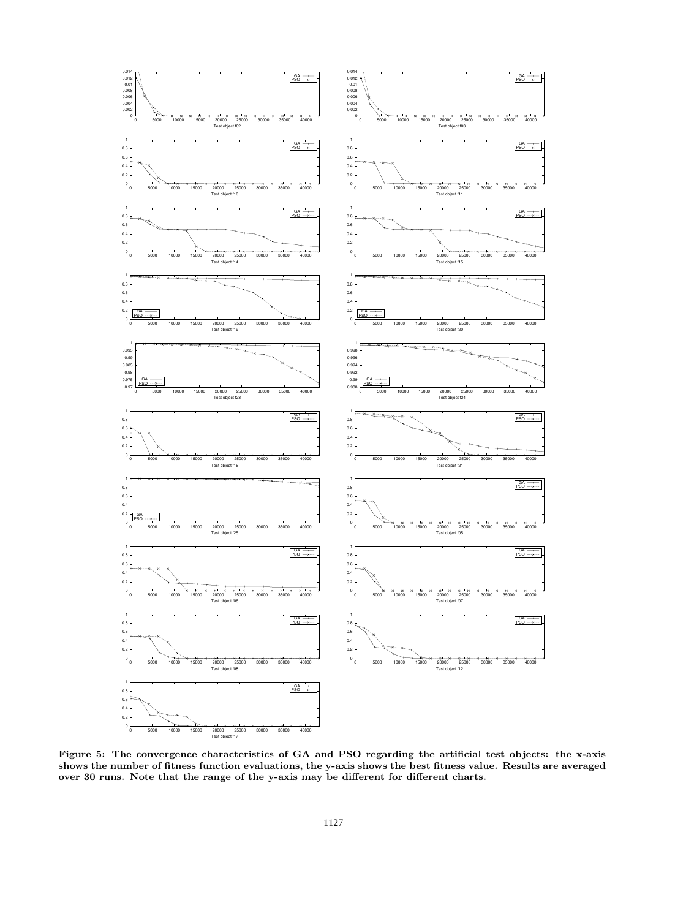

**Figure 5: The convergence characteristics of GA and PSO regarding the artificial test objects: the x-axis shows the number of fitness function evaluations, the y-axis shows the best fitness value. Results are averaged over 30 runs. Note that the range of the y-axis may be different for different charts.**